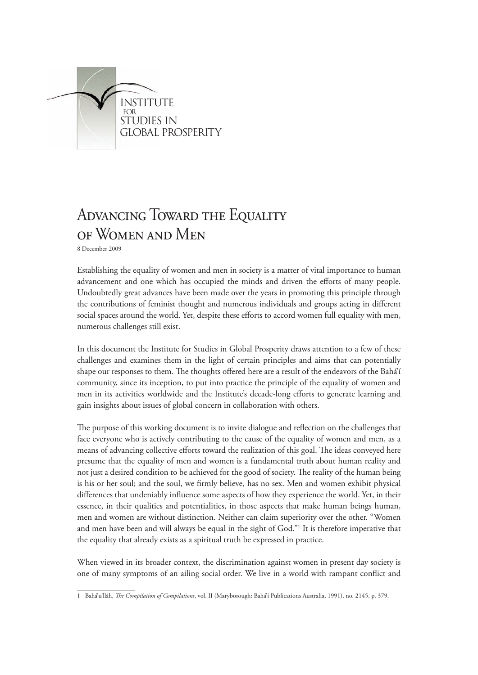

# ADVANCING TOWARD THE EQUALITY of Women and Men

8 December 2009

Establishing the equality of women and men in society is a matter of vital importance to human advancement and one which has occupied the minds and driven the efforts of many people. Undoubtedly great advances have been made over the years in promoting this principle through the contributions of feminist thought and numerous individuals and groups acting in different social spaces around the world. Yet, despite these efforts to accord women full equality with men, numerous challenges still exist.

In this document the Institute for Studies in Global Prosperity draws attention to a few of these challenges and examines them in the light of certain principles and aims that can potentially shape our responses to them. The thoughts offered here are a result of the endeavors of the Bahá'í community, since its inception, to put into practice the principle of the equality of women and men in its activities worldwide and the Institute's decade-long efforts to generate learning and gain insights about issues of global concern in collaboration with others.

The purpose of this working document is to invite dialogue and reflection on the challenges that face everyone who is actively contributing to the cause of the equality of women and men, as a means of advancing collective efforts toward the realization of this goal. The ideas conveyed here presume that the equality of men and women is a fundamental truth about human reality and not just a desired condition to be achieved for the good of society. The reality of the human being is his or her soul; and the soul, we firmly believe, has no sex. Men and women exhibit physical differences that undeniably influence some aspects of how they experience the world. Yet, in their essence, in their qualities and potentialities, in those aspects that make human beings human, men and women are without distinction. Neither can claim superiority over the other. "Women and men have been and will always be equal in the sight of God."1 It is therefore imperative that the equality that already exists as a spiritual truth be expressed in practice.

When viewed in its broader context, the discrimination against women in present day society is one of many symptoms of an ailing social order. We live in a world with rampant conflict and

<sup>1</sup> Bahá'u'lláh, *The Compilation of Compilations*, vol. II (Maryborough: Bahá'í Publications Australia, 1991), no. 2145, p. 379.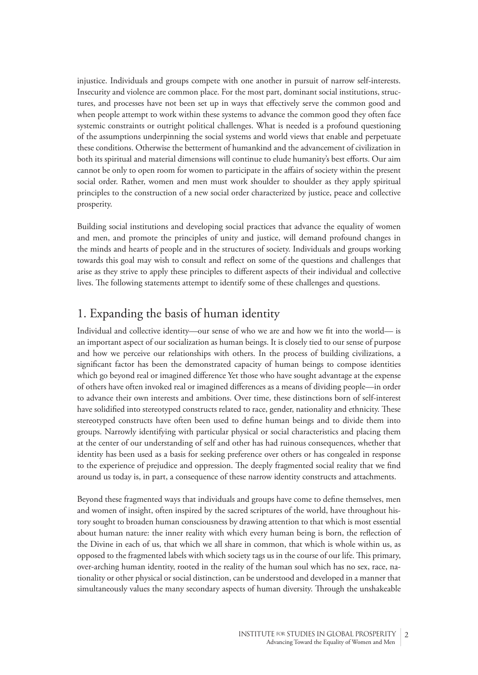injustice. Individuals and groups compete with one another in pursuit of narrow self-interests. Insecurity and violence are common place. For the most part, dominant social institutions, structures, and processes have not been set up in ways that effectively serve the common good and when people attempt to work within these systems to advance the common good they often face systemic constraints or outright political challenges. What is needed is a profound questioning of the assumptions underpinning the social systems and world views that enable and perpetuate these conditions. Otherwise the betterment of humankind and the advancement of civilization in both its spiritual and material dimensions will continue to elude humanity's best efforts. Our aim cannot be only to open room for women to participate in the affairs of society within the present social order. Rather, women and men must work shoulder to shoulder as they apply spiritual principles to the construction of a new social order characterized by justice, peace and collective prosperity.

Building social institutions and developing social practices that advance the equality of women and men, and promote the principles of unity and justice, will demand profound changes in the minds and hearts of people and in the structures of society. Individuals and groups working towards this goal may wish to consult and reflect on some of the questions and challenges that arise as they strive to apply these principles to different aspects of their individual and collective lives. The following statements attempt to identify some of these challenges and questions.

## 1. Expanding the basis of human identity

Individual and collective identity—our sense of who we are and how we fit into the world— is an important aspect of our socialization as human beings. It is closely tied to our sense of purpose and how we perceive our relationships with others. In the process of building civilizations, a significant factor has been the demonstrated capacity of human beings to compose identities which go beyond real or imagined difference Yet those who have sought advantage at the expense of others have often invoked real or imagined differences as a means of dividing people—in order to advance their own interests and ambitions. Over time, these distinctions born of self-interest have solidified into stereotyped constructs related to race, gender, nationality and ethnicity. These stereotyped constructs have often been used to define human beings and to divide them into groups. Narrowly identifying with particular physical or social characteristics and placing them at the center of our understanding of self and other has had ruinous consequences, whether that identity has been used as a basis for seeking preference over others or has congealed in response to the experience of prejudice and oppression. The deeply fragmented social reality that we find around us today is, in part, a consequence of these narrow identity constructs and attachments.

Beyond these fragmented ways that individuals and groups have come to define themselves, men and women of insight, often inspired by the sacred scriptures of the world, have throughout history sought to broaden human consciousness by drawing attention to that which is most essential about human nature: the inner reality with which every human being is born, the reflection of the Divine in each of us, that which we all share in common, that which is whole within us, as opposed to the fragmented labels with which society tags us in the course of our life. This primary, over-arching human identity, rooted in the reality of the human soul which has no sex, race, nationality or other physical or social distinction, can be understood and developed in a manner that simultaneously values the many secondary aspects of human diversity. Through the unshakeable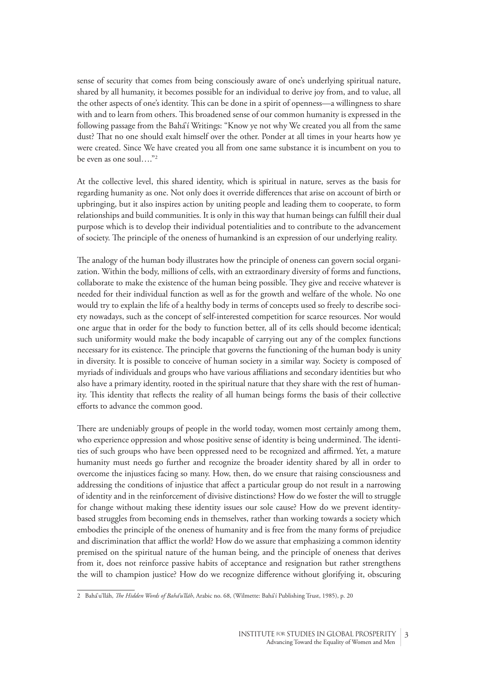sense of security that comes from being consciously aware of one's underlying spiritual nature, shared by all humanity, it becomes possible for an individual to derive joy from, and to value, all the other aspects of one's identity. This can be done in a spirit of openness—a willingness to share with and to learn from others. This broadened sense of our common humanity is expressed in the following passage from the Bahá'í Writings: "Know ye not why We created you all from the same dust? That no one should exalt himself over the other. Ponder at all times in your hearts how ye were created. Since We have created you all from one same substance it is incumbent on you to be even as one soul…."2

At the collective level, this shared identity, which is spiritual in nature, serves as the basis for regarding humanity as one. Not only does it override differences that arise on account of birth or upbringing, but it also inspires action by uniting people and leading them to cooperate, to form relationships and build communities. It is only in this way that human beings can fulfill their dual purpose which is to develop their individual potentialities and to contribute to the advancement of society. The principle of the oneness of humankind is an expression of our underlying reality.

The analogy of the human body illustrates how the principle of oneness can govern social organization. Within the body, millions of cells, with an extraordinary diversity of forms and functions, collaborate to make the existence of the human being possible. They give and receive whatever is needed for their individual function as well as for the growth and welfare of the whole. No one would try to explain the life of a healthy body in terms of concepts used so freely to describe society nowadays, such as the concept of self-interested competition for scarce resources. Nor would one argue that in order for the body to function better, all of its cells should become identical; such uniformity would make the body incapable of carrying out any of the complex functions necessary for its existence. The principle that governs the functioning of the human body is unity in diversity. It is possible to conceive of human society in a similar way. Society is composed of myriads of individuals and groups who have various affiliations and secondary identities but who also have a primary identity, rooted in the spiritual nature that they share with the rest of humanity. This identity that reflects the reality of all human beings forms the basis of their collective efforts to advance the common good.

There are undeniably groups of people in the world today, women most certainly among them, who experience oppression and whose positive sense of identity is being undermined. The identities of such groups who have been oppressed need to be recognized and affirmed. Yet, a mature humanity must needs go further and recognize the broader identity shared by all in order to overcome the injustices facing so many. How, then, do we ensure that raising consciousness and addressing the conditions of injustice that affect a particular group do not result in a narrowing of identity and in the reinforcement of divisive distinctions? How do we foster the will to struggle for change without making these identity issues our sole cause? How do we prevent identitybased struggles from becoming ends in themselves, rather than working towards a society which embodies the principle of the oneness of humanity and is free from the many forms of prejudice and discrimination that afflict the world? How do we assure that emphasizing a common identity premised on the spiritual nature of the human being, and the principle of oneness that derives from it, does not reinforce passive habits of acceptance and resignation but rather strengthens the will to champion justice? How do we recognize difference without glorifying it, obscuring

<sup>2</sup> Bahá'u'lláh, *The Hidden Words of Bahá'u'lláh*, Arabic no. 68, (Wilmette: Bahá'í Publishing Trust, 1985), p. 20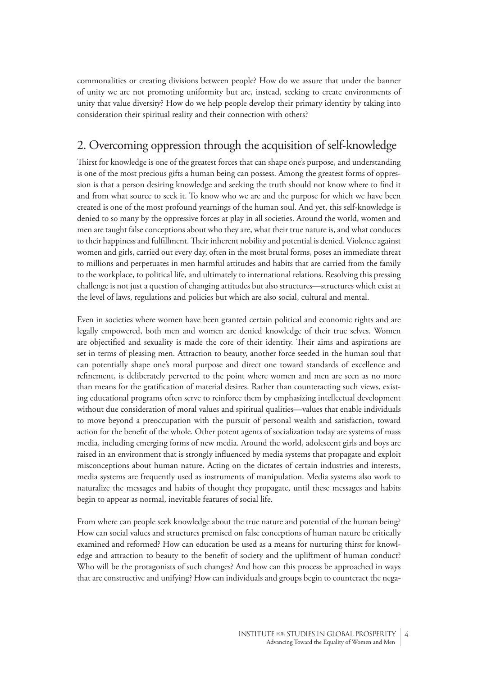commonalities or creating divisions between people? How do we assure that under the banner of unity we are not promoting uniformity but are, instead, seeking to create environments of unity that value diversity? How do we help people develop their primary identity by taking into consideration their spiritual reality and their connection with others?

# 2. Overcoming oppression through the acquisition of self-knowledge

Thirst for knowledge is one of the greatest forces that can shape one's purpose, and understanding is one of the most precious gifts a human being can possess. Among the greatest forms of oppression is that a person desiring knowledge and seeking the truth should not know where to find it and from what source to seek it. To know who we are and the purpose for which we have been created is one of the most profound yearnings of the human soul. And yet, this self-knowledge is denied to so many by the oppressive forces at play in all societies. Around the world, women and men are taught false conceptions about who they are, what their true nature is, and what conduces to their happiness and fulfillment. Their inherent nobility and potential is denied. Violence against women and girls, carried out every day, often in the most brutal forms, poses an immediate threat to millions and perpetuates in men harmful attitudes and habits that are carried from the family to the workplace, to political life, and ultimately to international relations. Resolving this pressing challenge is not just a question of changing attitudes but also structures—structures which exist at the level of laws, regulations and policies but which are also social, cultural and mental.

Even in societies where women have been granted certain political and economic rights and are legally empowered, both men and women are denied knowledge of their true selves. Women are objectified and sexuality is made the core of their identity. Their aims and aspirations are set in terms of pleasing men. Attraction to beauty, another force seeded in the human soul that can potentially shape one's moral purpose and direct one toward standards of excellence and refinement, is deliberately perverted to the point where women and men are seen as no more than means for the gratification of material desires. Rather than counteracting such views, existing educational programs often serve to reinforce them by emphasizing intellectual development without due consideration of moral values and spiritual qualities—values that enable individuals to move beyond a preoccupation with the pursuit of personal wealth and satisfaction, toward action for the benefit of the whole. Other potent agents of socialization today are systems of mass media, including emerging forms of new media. Around the world, adolescent girls and boys are raised in an environment that is strongly influenced by media systems that propagate and exploit misconceptions about human nature. Acting on the dictates of certain industries and interests, media systems are frequently used as instruments of manipulation. Media systems also work to naturalize the messages and habits of thought they propagate, until these messages and habits begin to appear as normal, inevitable features of social life.

From where can people seek knowledge about the true nature and potential of the human being? How can social values and structures premised on false conceptions of human nature be critically examined and reformed? How can education be used as a means for nurturing thirst for knowledge and attraction to beauty to the benefit of society and the upliftment of human conduct? Who will be the protagonists of such changes? And how can this process be approached in ways that are constructive and unifying? How can individuals and groups begin to counteract the nega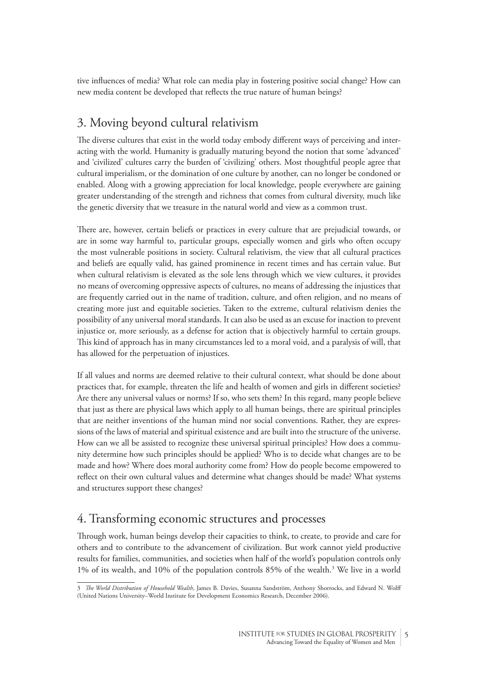tive influences of media? What role can media play in fostering positive social change? How can new media content be developed that reflects the true nature of human beings?

## 3. Moving beyond cultural relativism

The diverse cultures that exist in the world today embody different ways of perceiving and interacting with the world. Humanity is gradually maturing beyond the notion that some 'advanced' and 'civilized' cultures carry the burden of 'civilizing' others. Most thoughtful people agree that cultural imperialism, or the domination of one culture by another, can no longer be condoned or enabled. Along with a growing appreciation for local knowledge, people everywhere are gaining greater understanding of the strength and richness that comes from cultural diversity, much like the genetic diversity that we treasure in the natural world and view as a common trust.

There are, however, certain beliefs or practices in every culture that are prejudicial towards, or are in some way harmful to, particular groups, especially women and girls who often occupy the most vulnerable positions in society. Cultural relativism, the view that all cultural practices and beliefs are equally valid, has gained prominence in recent times and has certain value. But when cultural relativism is elevated as the sole lens through which we view cultures, it provides no means of overcoming oppressive aspects of cultures, no means of addressing the injustices that are frequently carried out in the name of tradition, culture, and often religion, and no means of creating more just and equitable societies. Taken to the extreme, cultural relativism denies the possibility of any universal moral standards. It can also be used as an excuse for inaction to prevent injustice or, more seriously, as a defense for action that is objectively harmful to certain groups. This kind of approach has in many circumstances led to a moral void, and a paralysis of will, that has allowed for the perpetuation of injustices.

If all values and norms are deemed relative to their cultural context, what should be done about practices that, for example, threaten the life and health of women and girls in different societies? Are there any universal values or norms? If so, who sets them? In this regard, many people believe that just as there are physical laws which apply to all human beings, there are spiritual principles that are neither inventions of the human mind nor social conventions. Rather, they are expressions of the laws of material and spiritual existence and are built into the structure of the universe. How can we all be assisted to recognize these universal spiritual principles? How does a community determine how such principles should be applied? Who is to decide what changes are to be made and how? Where does moral authority come from? How do people become empowered to reflect on their own cultural values and determine what changes should be made? What systems and structures support these changes?

#### 4. Transforming economic structures and processes

Through work, human beings develop their capacities to think, to create, to provide and care for others and to contribute to the advancement of civilization. But work cannot yield productive results for families, communities, and societies when half of the world's population controls only 1% of its wealth, and 10% of the population controls 85% of the wealth.3 We live in a world

<sup>3</sup> *The World Distribution of Household Wealth*, James B. Davies, Susanna Sandström, Anthony Shorrocks, and Edward N. Wolff (United Nations University–World Institute for Development Economics Research, December 2006).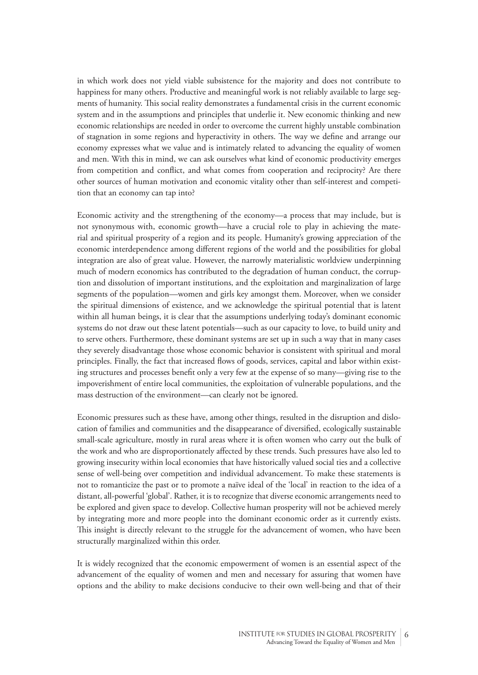in which work does not yield viable subsistence for the majority and does not contribute to happiness for many others. Productive and meaningful work is not reliably available to large segments of humanity. This social reality demonstrates a fundamental crisis in the current economic system and in the assumptions and principles that underlie it. New economic thinking and new economic relationships are needed in order to overcome the current highly unstable combination of stagnation in some regions and hyperactivity in others. The way we define and arrange our economy expresses what we value and is intimately related to advancing the equality of women and men. With this in mind, we can ask ourselves what kind of economic productivity emerges from competition and conflict, and what comes from cooperation and reciprocity? Are there other sources of human motivation and economic vitality other than self-interest and competition that an economy can tap into?

Economic activity and the strengthening of the economy—a process that may include, but is not synonymous with, economic growth—have a crucial role to play in achieving the material and spiritual prosperity of a region and its people. Humanity's growing appreciation of the economic interdependence among different regions of the world and the possibilities for global integration are also of great value. However, the narrowly materialistic worldview underpinning much of modern economics has contributed to the degradation of human conduct, the corruption and dissolution of important institutions, and the exploitation and marginalization of large segments of the population—women and girls key amongst them. Moreover, when we consider the spiritual dimensions of existence, and we acknowledge the spiritual potential that is latent within all human beings, it is clear that the assumptions underlying today's dominant economic systems do not draw out these latent potentials—such as our capacity to love, to build unity and to serve others. Furthermore, these dominant systems are set up in such a way that in many cases they severely disadvantage those whose economic behavior is consistent with spiritual and moral principles. Finally, the fact that increased flows of goods, services, capital and labor within existing structures and processes benefit only a very few at the expense of so many—giving rise to the impoverishment of entire local communities, the exploitation of vulnerable populations, and the mass destruction of the environment—can clearly not be ignored.

Economic pressures such as these have, among other things, resulted in the disruption and dislocation of families and communities and the disappearance of diversified, ecologically sustainable small-scale agriculture, mostly in rural areas where it is often women who carry out the bulk of the work and who are disproportionately affected by these trends. Such pressures have also led to growing insecurity within local economies that have historically valued social ties and a collective sense of well-being over competition and individual advancement. To make these statements is not to romanticize the past or to promote a naïve ideal of the 'local' in reaction to the idea of a distant, all-powerful 'global'. Rather, it is to recognize that diverse economic arrangements need to be explored and given space to develop. Collective human prosperity will not be achieved merely by integrating more and more people into the dominant economic order as it currently exists. This insight is directly relevant to the struggle for the advancement of women, who have been structurally marginalized within this order.

It is widely recognized that the economic empowerment of women is an essential aspect of the advancement of the equality of women and men and necessary for assuring that women have options and the ability to make decisions conducive to their own well-being and that of their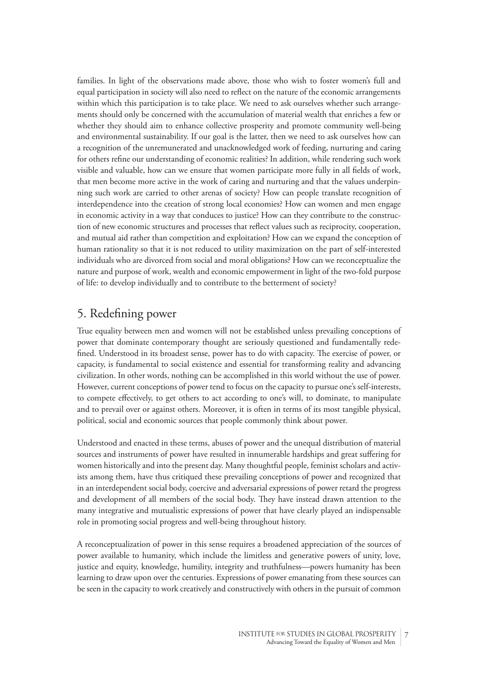families. In light of the observations made above, those who wish to foster women's full and equal participation in society will also need to reflect on the nature of the economic arrangements within which this participation is to take place. We need to ask ourselves whether such arrangements should only be concerned with the accumulation of material wealth that enriches a few or whether they should aim to enhance collective prosperity and promote community well-being and environmental sustainability. If our goal is the latter, then we need to ask ourselves how can a recognition of the unremunerated and unacknowledged work of feeding, nurturing and caring for others refine our understanding of economic realities? In addition, while rendering such work visible and valuable, how can we ensure that women participate more fully in all fields of work, that men become more active in the work of caring and nurturing and that the values underpinning such work are carried to other arenas of society? How can people translate recognition of interdependence into the creation of strong local economies? How can women and men engage in economic activity in a way that conduces to justice? How can they contribute to the construction of new economic structures and processes that reflect values such as reciprocity, cooperation, and mutual aid rather than competition and exploitation? How can we expand the conception of human rationality so that it is not reduced to utility maximization on the part of self-interested individuals who are divorced from social and moral obligations? How can we reconceptualize the nature and purpose of work, wealth and economic empowerment in light of the two-fold purpose of life: to develop individually and to contribute to the betterment of society?

#### 5. Redefining power

True equality between men and women will not be established unless prevailing conceptions of power that dominate contemporary thought are seriously questioned and fundamentally redefined. Understood in its broadest sense, power has to do with capacity. The exercise of power, or capacity, is fundamental to social existence and essential for transforming reality and advancing civilization. In other words, nothing can be accomplished in this world without the use of power. However, current conceptions of power tend to focus on the capacity to pursue one's self-interests, to compete effectively, to get others to act according to one's will, to dominate, to manipulate and to prevail over or against others. Moreover, it is often in terms of its most tangible physical, political, social and economic sources that people commonly think about power.

Understood and enacted in these terms, abuses of power and the unequal distribution of material sources and instruments of power have resulted in innumerable hardships and great suffering for women historically and into the present day. Many thoughtful people, feminist scholars and activists among them, have thus critiqued these prevailing conceptions of power and recognized that in an interdependent social body, coercive and adversarial expressions of power retard the progress and development of all members of the social body. They have instead drawn attention to the many integrative and mutualistic expressions of power that have clearly played an indispensable role in promoting social progress and well-being throughout history.

A reconceptualization of power in this sense requires a broadened appreciation of the sources of power available to humanity, which include the limitless and generative powers of unity, love, justice and equity, knowledge, humility, integrity and truthfulness—powers humanity has been learning to draw upon over the centuries. Expressions of power emanating from these sources can be seen in the capacity to work creatively and constructively with others in the pursuit of common